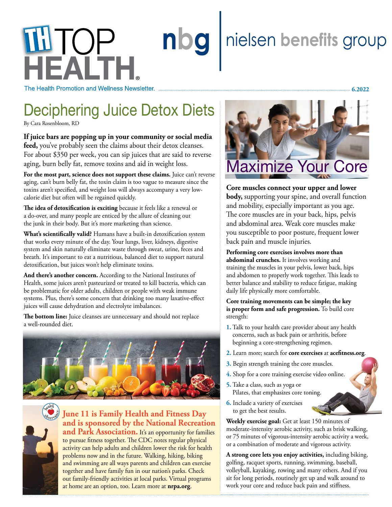# nielsen benefits group nbg **WITOP**

The Health Promotion and Wellness Newsletter.

## Deciphering Juice Detox Diets

By Cara Rosenbloom, RD

**If juice bars are popping up in your community or social media feed,** you've probably seen the claims about their detox cleanses. For about \$350 per week, you can sip juices that are said to reverse aging, burn belly fat, remove toxins and aid in weight loss.

**For the most part, science does not support these claims.** Juice can't reverse aging, can't burn belly fat, the toxin claim is too vague to measure since the toxins aren't specified, and weight loss will always accompany a very lowcalorie diet but often will be regained quickly.

**The idea of detoxification is exciting** because it feels like a renewal or a do-over, and many people are enticed by the allure of cleaning out the junk in their body. But it's more marketing than science.

**What's scientifically valid?** Humans have a built-in detoxification system that works every minute of the day. Your lungs, liver, kidneys, digestive system and skin naturally eliminate waste through sweat, urine, feces and breath. It's important to eat a nutritious, balanced diet to support natural detoxification, but juices won't help eliminate toxins.

**And there's another concern.** According to the National Institutes of Health, some juices aren't pasteurized or treated to kill bacteria, which can be problematic for older adults, children or people with weak immune systems. Plus, there's some concern that drinking too many laxative-effect juices will cause dehydration and electrolyte imbalances.

**The bottom line:** Juice cleanses are unnecessary and should not replace a well-rounded diet.





**June 11 is Family Health and Fitness Day and is sponsored by the National Recreation**  and Park Association. It's an opportunity for families to pursue fitness together. The CDC notes regular physical activity can help adults and children lower the risk for health problems now and in the future. Walking, hiking, biking and swimming are all ways parents and children can exercise together and have family fun in our nation's parks. Check out family-friendly activities at local parks. Virtual programs at home are an option, too. Learn more at **[nrpa.org](http://www.nrpa.org)**.



 **6.2022**

**Core muscles connect your upper and lower body,** supporting your spine, and overall function and mobility, especially important as you age. The core muscles are in your back, hips, pelvis and abdominal area. Weak core muscles make you susceptible to poor posture, frequent lower back pain and muscle injuries.

**Performing core exercises involves more than abdominal crunches.** It involves working and training the muscles in your pelvis, lower back, hips and abdomen to properly work together. This leads to better balance and stability to reduce fatigue, making daily life physically more comfortable.

**Core training movements can be simple; the key is proper form and safe progression.** To build core strength:

- **1.** Talk to your health care provider about any health concerns, such as back pain or arthritis, before beginning a core-strengthening regimen.
- **2.** Learn more; search for **core exercises** at **acefitness.org**.
- **3.** Begin strength training the core muscles.
- **4.** Shop for a core training exercise video online.
- **5.** Take a class, such as yoga or Pilates, that emphasizes core toning.
- **6.** Include a variety of exercises to get the best results.

**Weekly exercise goal:** Get at least 150 minutes of moderate-intensity aerobic activity, such as brisk walking, or 75 minutes of vigorous-intensity aerobic activity a week, or a combination of moderate and vigorous activity.

**A strong core lets you enjoy activities,** including biking, golfing, racquet sports, running, swimming, baseball, volleyball, kayaking, rowing and many others. And if you sit for long periods, routinely get up and walk around to work your core and reduce back pain and stiffness.